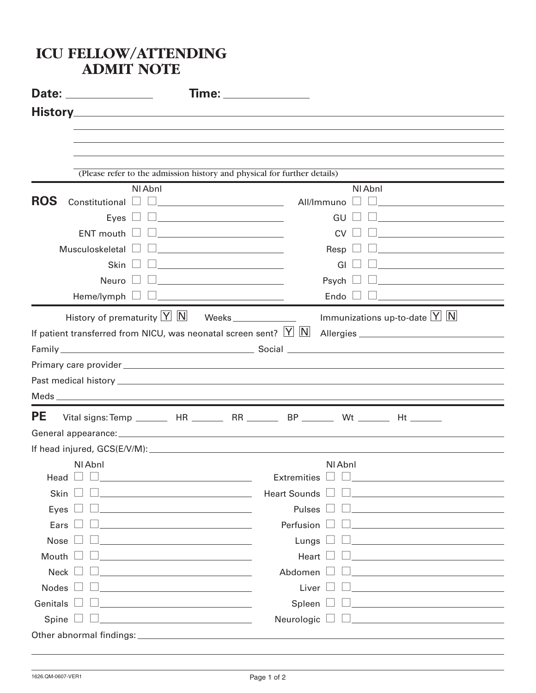## **ICU FELLOW/ATTENDING ADMIT NOTE Date: Time: History** (Please refer to the admission history and physical for further details) Nl Abnl Nl Abnl **ROS** Constitutional  $\Box$ Eyes GU  $\Box$  ENT mouth  $\Box$   $\Box$   $\Box$   $\Box$   $\Box$ Musculoskeletal  $\square$ Skin GI  $Newro$   $\Box$  $Heme/lymph$   $\Box$ History of prematurity  $\boxed{Y}$   $\boxed{N}$  Weeks If patient transferred from NICU, was neonatal screen sent?  $|Y|$   $|\mathsf{N}|$  allergies Family Social Primary care provider Past medical history Meds **PE** Vital signs: Temp \_\_\_\_\_\_\_\_ HR \_\_\_\_\_\_\_ RR \_\_\_\_\_\_ BP \_\_\_\_\_\_ Wt \_\_\_\_\_\_ Ht \_\_\_\_\_\_ General appearance: If head injured, GCS(E/V/M): Nl Abnl Nl Abnl Head Extremities  $\Box$  Skin  $\Box$   $\Box$  Heart Sounds  $\Box$   $\Box$ Eves  $\Box$   $\Box$ Ears Perfusion Nose  $\Box$ Mouth  $\Box$   $\Box$  Heart  $\Box$   $\Box$ Neck Abdomen  $\n **Nodes**  $\Box$   $\Box$   $\Box$   $\Box$   $\Box$   $\Box$   $\Box$   $\Box$   $\Box$$  $Genitals \ \Box \ \Box$   $Spleen \ \Box \ \Box$   $Solen \ \Box \ \Box$   $Solen \ \Box \ \Box$   $Solen \ \Box \ \Box$   $Solen \ \Box \ \Box$   $Solen \ \Box \ \Box$   $Solen \ \Box \ \Box$   $Solen \ \Box \ \Box$   $Solen \ \Box \ \Box$   $Solen \ \Box \ \Box$   $Solen \ \Box \ \Box$   $Solen \ \Box \ \Box$   $Solen \ \Box \ \Box$   $Solen \ \Box \ \Box$   $Solen \ \Box \ \Box$   $Solen \ \Box \ \Box$   $Solen \ \Box \ \Box$   $Solen \$  $Spine \ \Box \ \Box$  Neurologic  $\Box \ \Box$ Other abnormal findings: Immunizations up-to-date  $\boxed{Y}$   $\boxed{N}$